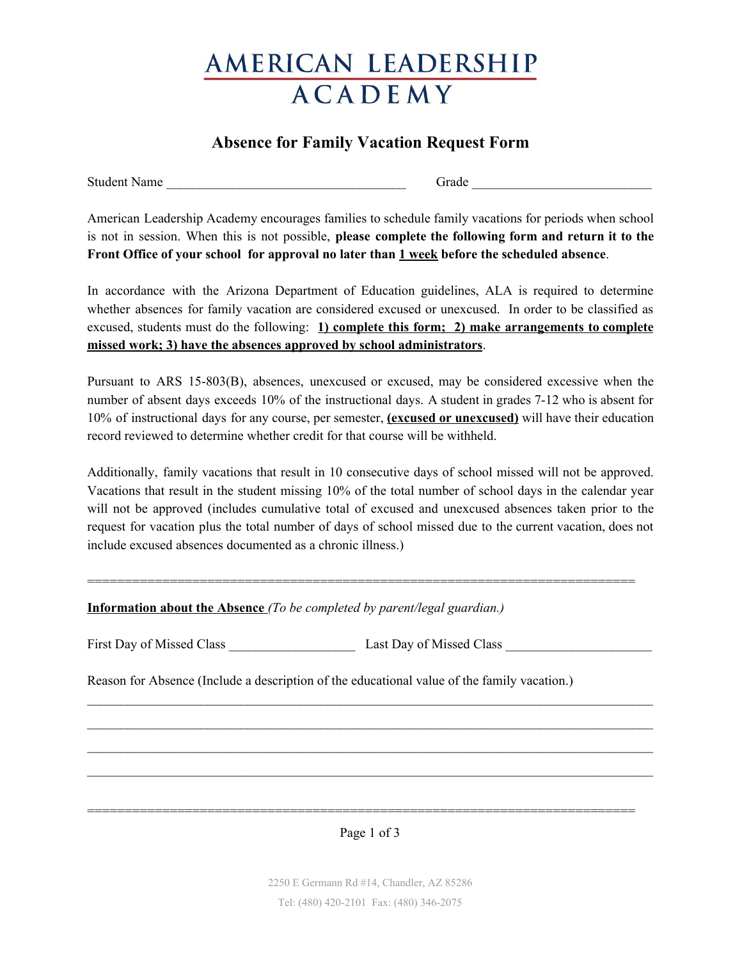### AMERICAN LEADERSHIP **ACADEMY**

#### **Absence for Family Vacation Request Form**

Student Name \_\_\_\_\_\_\_\_\_\_\_\_\_\_\_\_\_\_\_\_\_\_\_\_\_\_\_\_\_\_\_\_\_\_\_\_ Grade \_\_\_\_\_\_\_\_\_\_\_\_\_\_\_\_\_\_\_\_\_\_\_\_\_\_\_

American Leadership Academy encourages families to schedule family vacations for periods when school is not in session. When this is not possible, **please complete the following form and return it to the Front Office of your school for approval no later than 1 week before the scheduled absence**.

In accordance with the Arizona Department of Education guidelines, ALA is required to determine whether absences for family vacation are considered excused or unexcused. In order to be classified as excused, students must do the following: **1) complete this form; 2) make arrangements to complete missed work; 3) have the absences approved by school administrators**.

Pursuant to ARS 15-803(B), absences, unexcused or excused, may be considered excessive when the number of absent days exceeds 10% of the instructional days. A student in grades 7-12 who is absent for 10% of instructional days for any course, per semester, **(excused or unexcused)** will have their education record reviewed to determine whether credit for that course will be withheld.

Additionally, family vacations that result in 10 consecutive days of school missed will not be approved. Vacations that result in the student missing 10% of the total number of school days in the calendar year will not be approved (includes cumulative total of excused and unexcused absences taken prior to the request for vacation plus the total number of days of school missed due to the current vacation, does not include excused absences documented as a chronic illness.)

=========================================================================

**Information about the Absence** *(To be completed by parent/legal guardian.)*

| First Day of Missed Class | Last Day of Missed Class |  |
|---------------------------|--------------------------|--|
|                           |                          |  |

Reason for Absence (Include a description of the educational value of the family vacation.)

Page 1 of 3

=========================================================================

 $\mathcal{L}_\text{max} = \mathcal{L}_\text{max} = \mathcal{L}_\text{max} = \mathcal{L}_\text{max} = \mathcal{L}_\text{max} = \mathcal{L}_\text{max} = \mathcal{L}_\text{max} = \mathcal{L}_\text{max} = \mathcal{L}_\text{max} = \mathcal{L}_\text{max} = \mathcal{L}_\text{max} = \mathcal{L}_\text{max} = \mathcal{L}_\text{max} = \mathcal{L}_\text{max} = \mathcal{L}_\text{max} = \mathcal{L}_\text{max} = \mathcal{L}_\text{max} = \mathcal{L}_\text{max} = \mathcal{$  $\mathcal{L}_\text{max} = \mathcal{L}_\text{max} = \mathcal{L}_\text{max} = \mathcal{L}_\text{max} = \mathcal{L}_\text{max} = \mathcal{L}_\text{max} = \mathcal{L}_\text{max} = \mathcal{L}_\text{max} = \mathcal{L}_\text{max} = \mathcal{L}_\text{max} = \mathcal{L}_\text{max} = \mathcal{L}_\text{max} = \mathcal{L}_\text{max} = \mathcal{L}_\text{max} = \mathcal{L}_\text{max} = \mathcal{L}_\text{max} = \mathcal{L}_\text{max} = \mathcal{L}_\text{max} = \mathcal{$  $\mathcal{L}_\text{max} = \mathcal{L}_\text{max} = \mathcal{L}_\text{max} = \mathcal{L}_\text{max} = \mathcal{L}_\text{max} = \mathcal{L}_\text{max} = \mathcal{L}_\text{max} = \mathcal{L}_\text{max} = \mathcal{L}_\text{max} = \mathcal{L}_\text{max} = \mathcal{L}_\text{max} = \mathcal{L}_\text{max} = \mathcal{L}_\text{max} = \mathcal{L}_\text{max} = \mathcal{L}_\text{max} = \mathcal{L}_\text{max} = \mathcal{L}_\text{max} = \mathcal{L}_\text{max} = \mathcal{$  $\mathcal{L}_\text{max} = \mathcal{L}_\text{max} = \mathcal{L}_\text{max} = \mathcal{L}_\text{max} = \mathcal{L}_\text{max} = \mathcal{L}_\text{max} = \mathcal{L}_\text{max} = \mathcal{L}_\text{max} = \mathcal{L}_\text{max} = \mathcal{L}_\text{max} = \mathcal{L}_\text{max} = \mathcal{L}_\text{max} = \mathcal{L}_\text{max} = \mathcal{L}_\text{max} = \mathcal{L}_\text{max} = \mathcal{L}_\text{max} = \mathcal{L}_\text{max} = \mathcal{L}_\text{max} = \mathcal{$ 

> 2250 E Germann Rd #14, Chandler, AZ 85286 Tel: (480) 420-2101 Fax: (480) 346-2075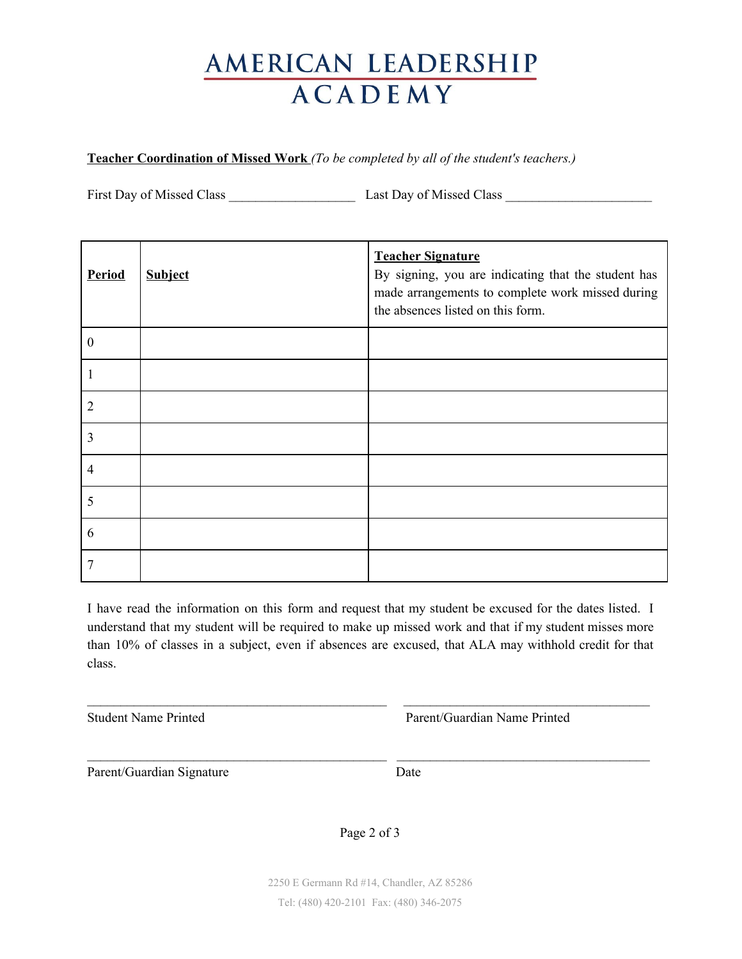# AMERICAN LEADERSHIP **ACADEMY**

**Teacher Coordination of Missed Work** *(To be completed by all of the student's teachers.)*

First Day of Missed Class \_\_\_\_\_\_\_\_\_\_\_\_\_\_\_\_\_\_\_ Last Day of Missed Class \_\_\_\_\_\_\_\_\_\_\_\_\_\_\_\_\_\_\_\_\_\_

| <b>Period</b>    | <b>Subject</b> | <b>Teacher Signature</b><br>By signing, you are indicating that the student has<br>made arrangements to complete work missed during<br>the absences listed on this form. |
|------------------|----------------|--------------------------------------------------------------------------------------------------------------------------------------------------------------------------|
| $\boldsymbol{0}$ |                |                                                                                                                                                                          |
| 1                |                |                                                                                                                                                                          |
| $\overline{2}$   |                |                                                                                                                                                                          |
| 3                |                |                                                                                                                                                                          |
| 4                |                |                                                                                                                                                                          |
| 5                |                |                                                                                                                                                                          |
| 6                |                |                                                                                                                                                                          |
| 7                |                |                                                                                                                                                                          |

I have read the information on this form and request that my student be excused for the dates listed. I understand that my student will be required to make up missed work and that if my student misses more than 10% of classes in a subject, even if absences are excused, that ALA may withhold credit for that class.

 $\mathcal{L}_\mathcal{L} = \{ \mathcal{L}_\mathcal{L} = \{ \mathcal{L}_\mathcal{L} = \{ \mathcal{L}_\mathcal{L} = \{ \mathcal{L}_\mathcal{L} = \{ \mathcal{L}_\mathcal{L} = \{ \mathcal{L}_\mathcal{L} = \{ \mathcal{L}_\mathcal{L} = \{ \mathcal{L}_\mathcal{L} = \{ \mathcal{L}_\mathcal{L} = \{ \mathcal{L}_\mathcal{L} = \{ \mathcal{L}_\mathcal{L} = \{ \mathcal{L}_\mathcal{L} = \{ \mathcal{L}_\mathcal{L} = \{ \mathcal{L}_\mathcal{$ 

 $\mathcal{L}_\text{max} = \frac{1}{2} \sum_{i=1}^n \mathcal{L}_\text{max} = \frac{1}{2} \sum_{i=1}^n \mathcal{L}_\text{max} = \frac{1}{2} \sum_{i=1}^n \mathcal{L}_\text{max} = \frac{1}{2} \sum_{i=1}^n \mathcal{L}_\text{max} = \frac{1}{2} \sum_{i=1}^n \mathcal{L}_\text{max} = \frac{1}{2} \sum_{i=1}^n \mathcal{L}_\text{max} = \frac{1}{2} \sum_{i=1}^n \mathcal{L}_\text{max} = \frac{1}{2} \sum_{i=$ 

Student Name Printed Parent/Guardian Name Printed

Parent/Guardian Signature Date

Page 2 of 3

2250 E Germann Rd #14, Chandler, AZ 85286 Tel: (480) 420-2101 Fax: (480) 346-2075